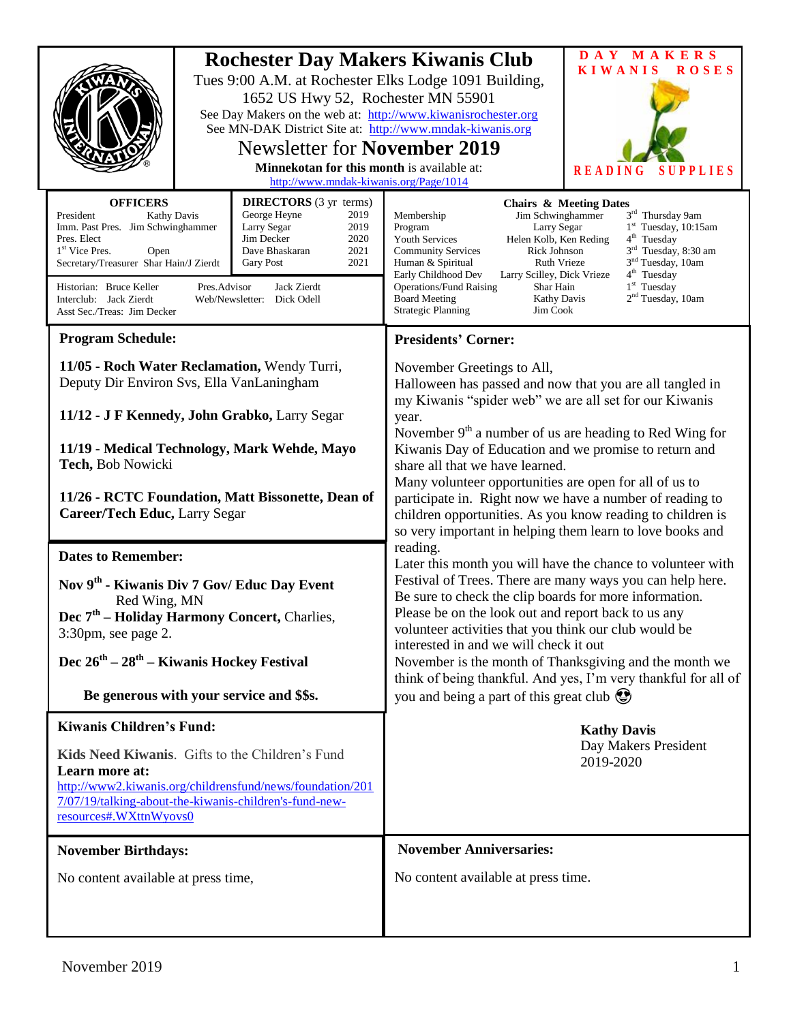| <b>Rochester Day Makers Kiwanis Club</b><br>Tues 9:00 A.M. at Rochester Elks Lodge 1091 Building,<br>1652 US Hwy 52, Rochester MN 55901<br>See Day Makers on the web at: http://www.kiwanisrochester.org<br>See MN-DAK District Site at: http://www.mndak-kiwanis.org<br><b>Newsletter for November 2019</b><br>Minnekotan for this month is available at:<br>http://www.mndak-kiwanis.org/Page/1014 |                                                                                                                                                                                                                                                                                                                                                                                                                                                                                                                                                                      |                                                                                                                                                                                                                                                                                  |                                                                                                                                                                                                                                                                                                                                                                                                                                                                                                                                                                                                                                                             | DAY MAKERS<br><b>KIWANIS</b><br><b>ROSES</b><br><b>READING</b><br>PLIES                                                                                                                                                                                                                                                                                                                                                                                                                                                                                             |  |
|------------------------------------------------------------------------------------------------------------------------------------------------------------------------------------------------------------------------------------------------------------------------------------------------------------------------------------------------------------------------------------------------------|----------------------------------------------------------------------------------------------------------------------------------------------------------------------------------------------------------------------------------------------------------------------------------------------------------------------------------------------------------------------------------------------------------------------------------------------------------------------------------------------------------------------------------------------------------------------|----------------------------------------------------------------------------------------------------------------------------------------------------------------------------------------------------------------------------------------------------------------------------------|-------------------------------------------------------------------------------------------------------------------------------------------------------------------------------------------------------------------------------------------------------------------------------------------------------------------------------------------------------------------------------------------------------------------------------------------------------------------------------------------------------------------------------------------------------------------------------------------------------------------------------------------------------------|---------------------------------------------------------------------------------------------------------------------------------------------------------------------------------------------------------------------------------------------------------------------------------------------------------------------------------------------------------------------------------------------------------------------------------------------------------------------------------------------------------------------------------------------------------------------|--|
|                                                                                                                                                                                                                                                                                                                                                                                                      | <b>OFFICERS</b><br><b>DIRECTORS</b> (3 yr terms)<br>President<br>George Heyne<br><b>Kathy Davis</b><br>2019<br>Larry Segar<br>2019<br>Imm. Past Pres. Jim Schwinghammer<br>Jim Decker<br>2020<br>Pres. Elect<br>Dave Bhaskaran<br>2021<br>1 <sup>st</sup> Vice Pres.<br>Open<br>Secretary/Treasurer Shar Hain/J Zierdt<br>2021<br><b>Gary Post</b><br>Jack Zierdt<br>Historian: Bruce Keller<br>Pres.Advisor<br>Interclub: Jack Zierdt<br>Web/Newsletter: Dick Odell<br>Asst Sec./Treas: Jim Decker                                                                  |                                                                                                                                                                                                                                                                                  | <b>Chairs &amp; Meeting Dates</b><br>3rd Thursday 9am<br>Jim Schwinghammer<br>Membership<br>1 <sup>st</sup> Tuesday, 10:15am<br>Program<br>Larry Segar<br>Helen Kolb, Ken Reding<br>4 <sup>th</sup> Tuesday<br><b>Youth Services</b><br>3 <sup>rd</sup> Tuesday, 8:30 am<br>Rick Johnson<br><b>Community Services</b><br>3 <sup>nd</sup> Tuesday, 10am<br>Ruth Vrieze<br>Human & Spiritual<br>4 <sup>th</sup> Tuesday<br>Early Childhood Dev<br>Larry Scilley, Dick Vrieze<br>$1st$ Tuesday<br><b>Operations/Fund Raising</b><br>Shar Hain<br>2 <sup>nd</sup> Tuesday, 10am<br><b>Board Meeting</b><br>Kathy Davis<br><b>Strategic Planning</b><br>Jim Cook |                                                                                                                                                                                                                                                                                                                                                                                                                                                                                                                                                                     |  |
|                                                                                                                                                                                                                                                                                                                                                                                                      | <b>Program Schedule:</b>                                                                                                                                                                                                                                                                                                                                                                                                                                                                                                                                             |                                                                                                                                                                                                                                                                                  | <b>Presidents' Corner:</b>                                                                                                                                                                                                                                                                                                                                                                                                                                                                                                                                                                                                                                  |                                                                                                                                                                                                                                                                                                                                                                                                                                                                                                                                                                     |  |
|                                                                                                                                                                                                                                                                                                                                                                                                      | Tech, Bob Nowicki                                                                                                                                                                                                                                                                                                                                                                                                                                                                                                                                                    | 11/05 - Roch Water Reclamation, Wendy Turri,<br>Deputy Dir Environ Svs, Ella VanLaningham<br>11/12 - J F Kennedy, John Grabko, Larry Segar<br>11/19 - Medical Technology, Mark Wehde, Mayo<br>11/26 - RCTC Foundation, Matt Bissonette, Dean of<br>Career/Tech Educ, Larry Segar |                                                                                                                                                                                                                                                                                                                                                                                                                                                                                                                                                                                                                                                             | November Greetings to All,<br>Halloween has passed and now that you are all tangled in<br>my Kiwanis "spider web" we are all set for our Kiwanis<br>year.<br>November $9th$ a number of us are heading to Red Wing for<br>Kiwanis Day of Education and we promise to return and<br>share all that we have learned.<br>Many volunteer opportunities are open for all of us to<br>participate in. Right now we have a number of reading to<br>children opportunities. As you know reading to children is<br>so very important in helping them learn to love books and |  |
|                                                                                                                                                                                                                                                                                                                                                                                                      | <b>Dates to Remember:</b><br>Nov 9 <sup>th</sup> - Kiwanis Div 7 Gov/ Educ Day Event<br>Red Wing, MN<br>Dec 7 <sup>th</sup> - Holiday Harmony Concert, Charlies,<br>$3:30$ pm, see page 2.<br>Dec 26 <sup>th</sup> – 28 <sup>th</sup> – Kiwanis Hockey Festival<br>Be generous with your service and \$\$s.<br><b>Kiwanis Children's Fund:</b><br>Kids Need Kiwanis. Gifts to the Children's Fund<br>Learn more at:<br>http://www2.kiwanis.org/childrensfund/news/foundation/201<br>7/07/19/talking-about-the-kiwanis-children's-fund-new-<br>resources#.WXttnWyovs0 |                                                                                                                                                                                                                                                                                  | reading.<br>Later this month you will have the chance to volunteer with<br>Festival of Trees. There are many ways you can help here.<br>Be sure to check the clip boards for more information.<br>Please be on the look out and report back to us any<br>volunteer activities that you think our club would be<br>interested in and we will check it out<br>November is the month of Thanksgiving and the month we<br>think of being thankful. And yes, I'm very thankful for all of<br>you and being a part of this great club<br><b>Kathy Davis</b><br>Day Makers President<br>2019-2020                                                                  |                                                                                                                                                                                                                                                                                                                                                                                                                                                                                                                                                                     |  |
|                                                                                                                                                                                                                                                                                                                                                                                                      |                                                                                                                                                                                                                                                                                                                                                                                                                                                                                                                                                                      |                                                                                                                                                                                                                                                                                  |                                                                                                                                                                                                                                                                                                                                                                                                                                                                                                                                                                                                                                                             |                                                                                                                                                                                                                                                                                                                                                                                                                                                                                                                                                                     |  |
| <b>November Birthdays:</b>                                                                                                                                                                                                                                                                                                                                                                           |                                                                                                                                                                                                                                                                                                                                                                                                                                                                                                                                                                      | <b>November Anniversaries:</b>                                                                                                                                                                                                                                                   |                                                                                                                                                                                                                                                                                                                                                                                                                                                                                                                                                                                                                                                             |                                                                                                                                                                                                                                                                                                                                                                                                                                                                                                                                                                     |  |
|                                                                                                                                                                                                                                                                                                                                                                                                      | No content available at press time,                                                                                                                                                                                                                                                                                                                                                                                                                                                                                                                                  |                                                                                                                                                                                                                                                                                  | No content available at press time.                                                                                                                                                                                                                                                                                                                                                                                                                                                                                                                                                                                                                         |                                                                                                                                                                                                                                                                                                                                                                                                                                                                                                                                                                     |  |
|                                                                                                                                                                                                                                                                                                                                                                                                      |                                                                                                                                                                                                                                                                                                                                                                                                                                                                                                                                                                      |                                                                                                                                                                                                                                                                                  |                                                                                                                                                                                                                                                                                                                                                                                                                                                                                                                                                                                                                                                             |                                                                                                                                                                                                                                                                                                                                                                                                                                                                                                                                                                     |  |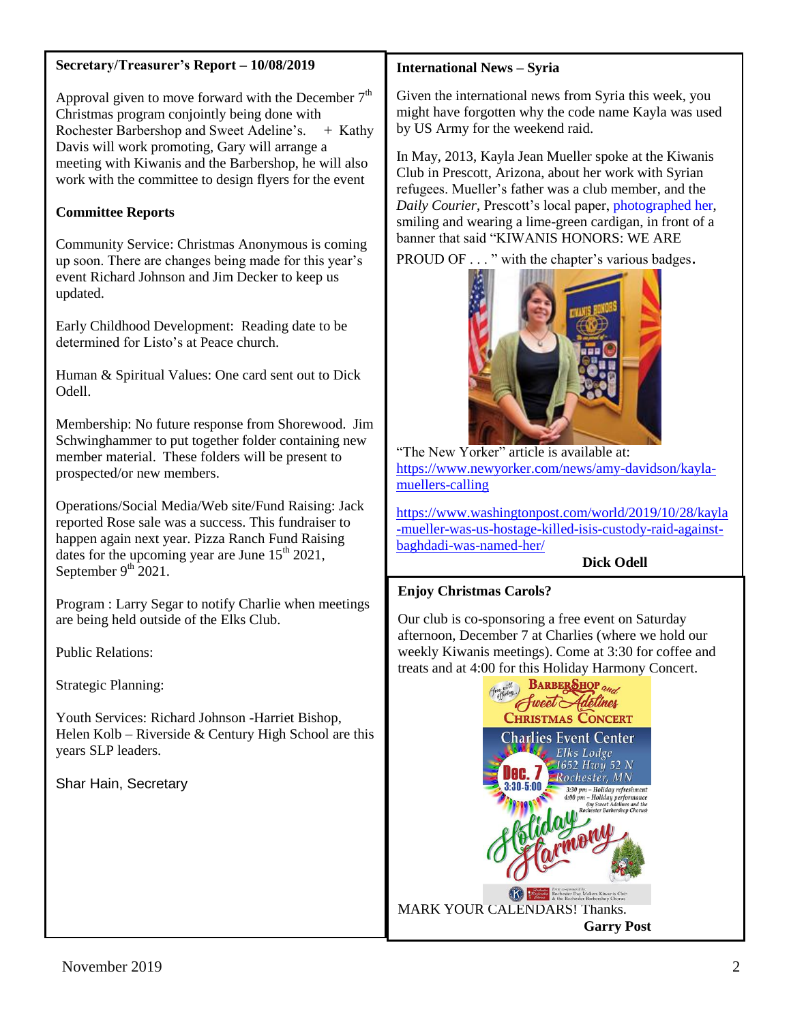### **Secretary/Treasurer's Report – 10/08/2019**

Approval given to move forward with the December  $7<sup>th</sup>$ Christmas program conjointly being done with Rochester Barbershop and Sweet Adeline's.  $+$  Kathy Davis will work promoting, Gary will arrange a meeting with Kiwanis and the Barbershop, he will also work with the committee to design flyers for the event

## **Committee Reports**

Community Service: Christmas Anonymous is coming up soon. There are changes being made for this year's event Richard Johnson and Jim Decker to keep us updated.

Early Childhood Development: Reading date to be determined for Listo's at Peace church.

Human & Spiritual Values: One card sent out to Dick Odell.

Membership: No future response from Shorewood. Jim Schwinghammer to put together folder containing new member material. These folders will be present to prospected/or new members.

Operations/Social Media/Web site/Fund Raising: Jack reported Rose sale was a success. This fundraiser to happen again next year. Pizza Ranch Fund Raising dates for the upcoming year are June  $15<sup>th</sup> 2021$ , September  $9^{th}$  2021.

Program : Larry Segar to notify Charlie when meetings are being held outside of the Elks Club.

Public Relations:

Strategic Planning:

Youth Services: Richard Johnson -Harriet Bishop, Helen Kolb – Riverside  $&$  Century High School are this years SLP leaders.

Shar Hain, Secretary

### **International News – Syria**

Given the international news from Syria this week, you might have forgotten why the code name Kayla was used by US Army for the weekend raid.

In May, 2013, Kayla Jean Mueller spoke at the Kiwanis Club in Prescott, Arizona, about her work with Syrian refugees. Mueller's father was a club member, and the *Daily Courier*, Prescott's local paper[, photographed her,](http://dcourier.com/main.asp?SectionID=1&SubsectionID=1&ArticleID=119744) smiling and wearing a lime-green cardigan, in front of a banner that said "KIWANIS HONORS: WE ARE

PROUD OF . . . " with the chapter's various badges.



"The New Yorker" article is available at: [https://www.newyorker.com/news/amy-davidson/kayla](https://www.newyorker.com/news/amy-davidson/kayla-muellers-calling)[muellers-calling](https://www.newyorker.com/news/amy-davidson/kayla-muellers-calling)

[https://www.washingtonpost.com/world/2019/10/28/kayla](https://www.washingtonpost.com/world/2019/10/28/kayla-mueller-was-us-hostage-killed-isis-custody-raid-against-baghdadi-was-named-her/) [-mueller-was-us-hostage-killed-isis-custody-raid-against](https://www.washingtonpost.com/world/2019/10/28/kayla-mueller-was-us-hostage-killed-isis-custody-raid-against-baghdadi-was-named-her/)[baghdadi-was-named-her/](https://www.washingtonpost.com/world/2019/10/28/kayla-mueller-was-us-hostage-killed-isis-custody-raid-against-baghdadi-was-named-her/) 

### **Dick Odell**

### **Enjoy Christmas Carols?**

Our club is co-sponsoring a free event on Saturday afternoon, December 7 at Charlies (where we hold our weekly Kiwanis meetings). Come at 3:30 for coffee and treats and at 4:00 for this Holiday Harmony Concert.

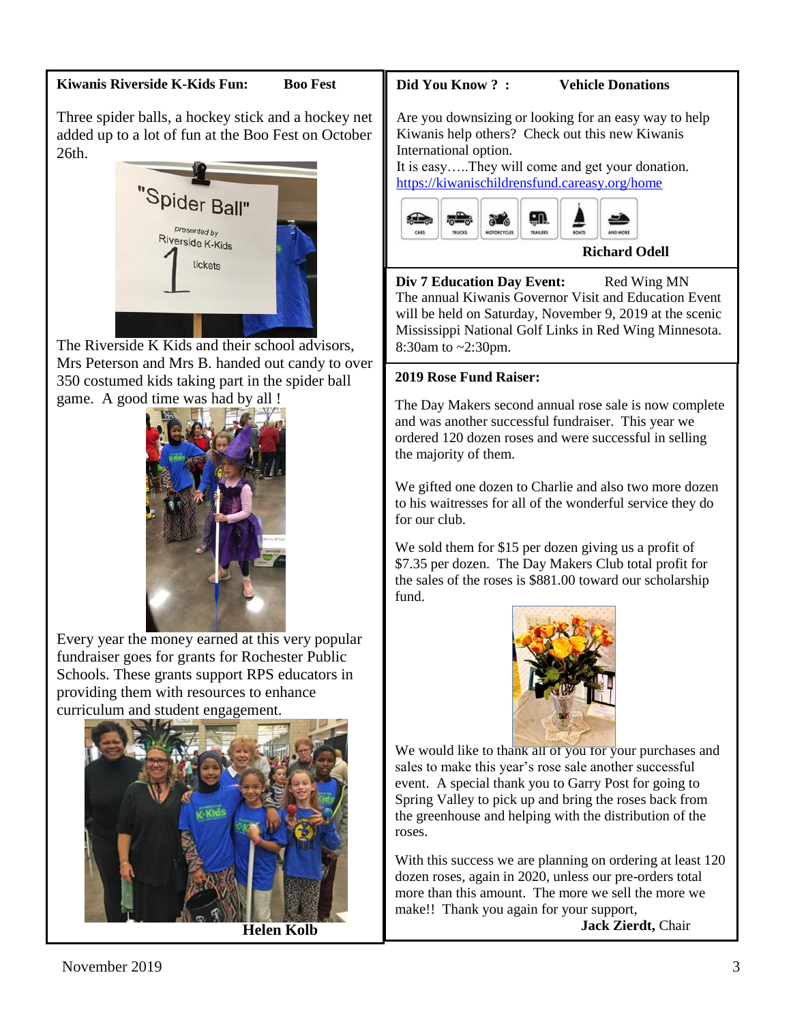### **Kiwanis Riverside K-Kids Fun: Boo Fest**

Three spider balls, a hockey stick and a hockey net added up to a lot of fun at the Boo Fest on October 26th.



The Riverside K Kids and their school advisors, Mrs Peterson and Mrs B. handed out candy to over 350 costumed kids taking part in the spider ball game. A good time was had by all !



Every year the money earned at this very popular fundraiser goes for grants for Rochester Public Schools. These grants support RPS educators in providing them with resources to enhance curriculum and student engagement.



**Helen Kolb**

# **Did You Know ? : Vehicle Donations**

Are you downsizing or looking for an easy way to help Kiwanis help others? Check out this new Kiwanis International option.

It is easy…..They will come and get your donation. <https://kiwanischildrensfund.careasy.org/home>



**Div 7 Education Day Event:** Red Wing MN The annual Kiwanis Governor Visit and Education Event will be held on Saturday, November 9, 2019 at the scenic Mississippi National Golf Links in Red Wing Minnesota. 8:30am to ~2:30pm.

# **2019 Rose Fund Raiser:**

The Day Makers second annual rose sale is now complete and was another successful fundraiser. This year we ordered 120 dozen roses and were successful in selling the majority of them.

We gifted one dozen to Charlie and also two more dozen to his waitresses for all of the wonderful service they do for our club.

We sold them for \$15 per dozen giving us a profit of \$7.35 per dozen. The Day Makers Club total profit for the sales of the roses is \$881.00 toward our scholarship fund.



We would like to thank all of you for your purchases and sales to make this year's rose sale another successful event. A special thank you to Garry Post for going to Spring Valley to pick up and bring the roses back from the greenhouse and helping with the distribution of the roses.

With this success we are planning on ordering at least 120 dozen roses, again in 2020, unless our pre-orders total more than this amount. The more we sell the more we make!! Thank you again for your support,

**Jack Zierdt,** Chair

Day Makers Rose Sale